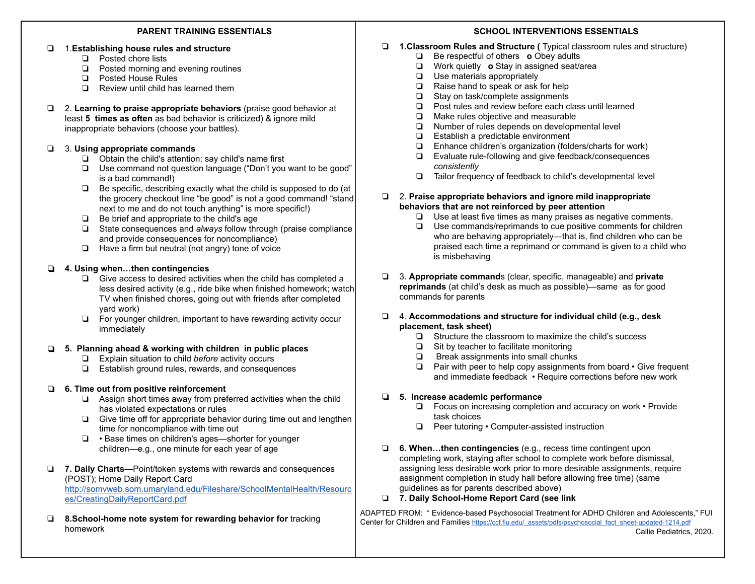#### **PARENT TRAINING ESSENTIALS**

#### ❏ 1. **Establishing house rules and structure**

- ❏ Posted chore lists
- ❏ Posted morning and evening routines
- ❏ Posted House Rules
- ❏ Review until child has learned them
- ❏ 2. **Learning to praise appropriate behaviors** (praise good behavior at least **5 times as often** as bad behavior is criticized) & ignore mild inappropriate behaviors (choose your battles).

# ❏ 3. **Using appropriate commands**

- ❏ Obtain the child's attention: say child's name first
- ❏ Use command not question language ("Don't you want to be good" is a bad command!)
- ❏ Be specific, describing exactly what the child is supposed to do (at the grocery checkout line "be good" is not a good command! "stand next to me and do not touch anything" is more specific!)
- ❏ Be brief and appropriate to the child's age
- ❏ State consequences and *always* follow through (praise compliance and provide consequences for noncompliance)
- ❏ Have a firm but neutral (not angry) tone of voice

# ❏ **4. Using when…then contingencies**

- ❏ Give access to desired activities when the child has completed a less desired activity (e.g., ride bike when finished homework; watch TV when finished chores, going out with friends after completed yard work)
- ❏ For younger children, important to have rewarding activity occur immediately

# ❏ **5. Planning ahead & working with children in public places**

- ❏ Explain situation to child *before* activity occurs
- ❏ Establish ground rules, rewards, and consequences

# ❏ **6. Time out from positive reinforcement**

- ❏ Assign short times away from preferred activities when the child has violated expectations or rules
- ❏ Give time off for appropriate behavior during time out and lengthen time for noncompliance with time out
- ❏ Base times on children's ages—shorter for younger children—e.g., one minute for each year of age
- ❏ **7. Daily Charts** —Point/token systems with rewards and consequences (POST); Home Daily Report Card [http://somvweb.som.umaryland.edu/Fileshare/SchoolMentalHealth/Resourc](http://somvweb.som.umaryland.edu/Fileshare/SchoolMentalHealth/Resources/CreatingDailyReportCard.pdf)  [es/CreatingDailyReportCard.pdf](http://somvweb.som.umaryland.edu/Fileshare/SchoolMentalHealth/Resources/CreatingDailyReportCard.pdf)
- ❏ **8.School-home note system for rewarding behavior for** tracking homework

# **SCHOOL INTERVENTIONS ESSENTIALS**

- ❏ **1.Classroom Rules and Structure (** Typical classroom rules and structure)
	- ❏ Be respectful of others **o** Obey adults
	- ❏ Work quietly **o** Stay in assigned seat/area
	- ❏ Use materials appropriately
	- ❏ Raise hand to speak or ask for help
	- ❏ Stay on task/complete assignments
	- ❏ Post rules and review before each class until learned
	- ❏ Make rules objective and measurable
	- ❏ Number of rules depends on developmental level
	- ❏ Establish a predictable environment
	- ❏ Enhance children's organization (folders/charts for work)
	- ❏ Evaluate rule-following and give feedback/consequences *consistently*
	- ❏ Tailor frequency of feedback to child's developmental level

#### ❏ 2. **Praise appropriate behaviors and ignore mild inappropriate behaviors that are not reinforced by peer attention**

- ❏ Use at least five times as many praises as negative comments.
- ❏ Use commands/reprimands to cue positive comments for children who are behaving appropriately—that is, find children who can be praised each time a reprimand or command is given to a child who is misbehaving
- ❏ 3. **Appropriate command** s (clear, specific, manageable) and **private reprimands** (at child's desk as much as possible)—same as for good commands for parents

# ❏ 4. **Accommodations and structure for individual child (e.g., desk placement, task sheet)**

- ❏ Structure the classroom to maximize the child's success
- ❏ Sit by teacher to facilitate monitoring
- ❏ Break assignments into small chunks
- ❏ Pair with peer to help copy assignments from board Give frequent and immediate feedback • Require corrections before new work

# ❏ **5. Increase academic performance**

- ❏ Focus on increasing completion and accuracy on work Provide task choices
- ❏ Peer tutoring Computer-assisted instruction
- ❏ **6. When…then contingencies** (e.g., recess time contingent upon completing work, staying after school to complete work before dismissal, assigning less desirable work prior to more desirable assignments, require assignment completion in study hall before allowing free time) (same guidelines as for parents described above)
- ❏ **7. Daily School-Home Report Card (see link**

ADAPTED FROM: " Evidence-based Psychosocial Treatment for ADHD Children and Adolescents," FUI Center for Children and Families [https://ccf.fiu.edu/\\_assets/pdfs/psychosocial\\_fact\\_sheet-updated-1214.pdf](https://ccf.fiu.edu/_assets/pdfs/psychosocial_fact_sheet-updated-1214.pdf)

Callie Pediatrics, 2020.